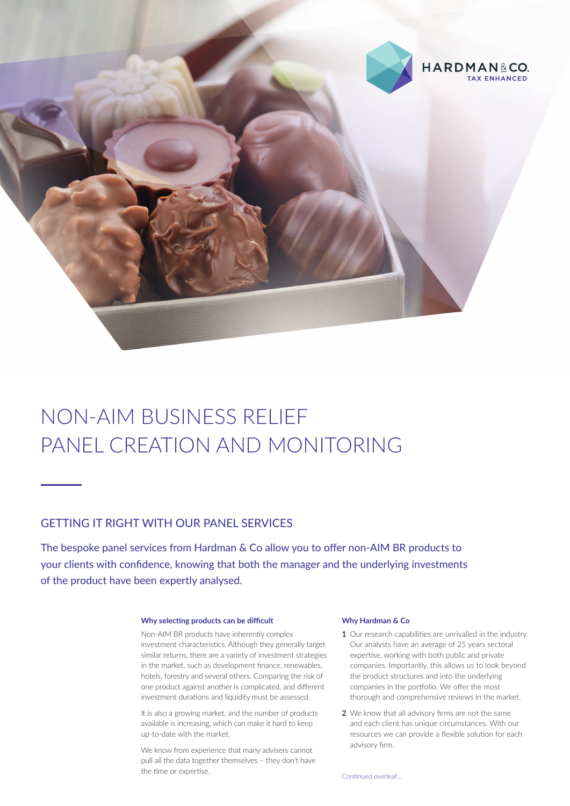

# NON-AIM BUSINESS RELIEF PANEL CREATION AND MONITORING

### GETTING IT RIGHT WITH OUR PANEL SERVICES

The bespoke panel services from Hardman & Co allow you to offer non-AIM BR products to your clients with confidence, knowing that both the manager and the underlying investments of the product have been expertly analysed.

#### **Why selecting products can be difficult**

Non-AIM BR products have inherently complex investment characteristics. Although they generally target similar returns, there are a variety of investment strategies in the market, such as development finance, renewables, hotels, forestry and several others. Comparing the risk of one product against another is complicated, and different investment durations and liquidity must be assessed.

It is also a growing market, and the number of products available is increasing, which can make it hard to keep up-to-date with the market.

We know from experience that many advisers cannot pull all the data together themselves – they don't have the time or expertise.

#### **Why Hardman & Co**

- **1** Our research capabilities are unrivalled in the industry. Our analysts have an average of 25 years sectoral expertise, working with both public and private companies. Importantly, this allows us to look beyond the product structures and into the underlying companies in the portfolio. We offer the most thorough and comprehensive reviews in the market.
- **2** We know that all advisory firms are not the same and each client has unique circumstances. With our resources we can provide a flexible solution for each advisory firm.

Continued overleaf…